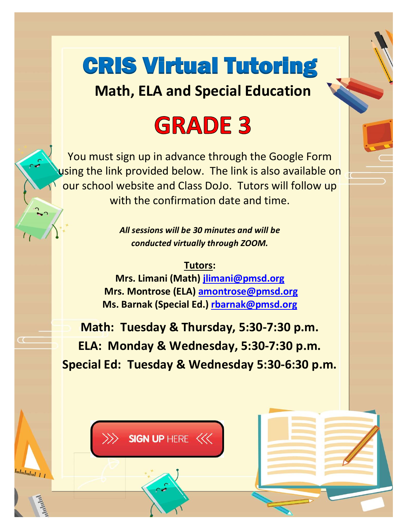# CRIS Virtual Tutoring

**Math, ELA and Special Education**

#### **GRADE 3**

You must sign up in advance through the Google Form using the link provided below. The link is also available on our school website and Class DoJo. Tutors will follow up with the confirmation date and time.

> *All sessions will be 30 minutes and will be conducted virtually through ZOOM.*

**Tutors: Mrs. Limani (Math) [jlimani@pmsd.org](mailto:jlimani@pmsd.org) Mrs. Montrose (ELA) [amontrose@pmsd.org](mailto:amontrose@pmsd.org) Ms. Barnak (Special Ed.) [rbarnak@pmsd.org](mailto:rbarnak@pmsd.org)**

**Math: Tuesday & Thursday, 5:30-7:30 p.m. ELA: Monday & Wednesday, 5:30-7:30 p.m. Special Ed: Tuesday & Wednesday 5:30-6:30 p.m.**

SIGN UP HERE <<<<

հահահակա 1 *1*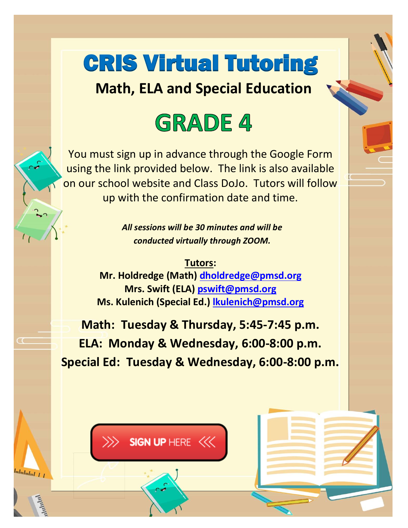### CRIS Virtual Tutoring

**Math, ELA and Special Education**

#### **GRADE 4**

You must sign up in advance through the Google Form using the link provided below. The link is also available on our school website and Class DoJo. Tutors will follow up with the confirmation date and time.

> *All sessions will be 30 minutes and will be conducted virtually through ZOOM.*

**Tutors: Mr. Holdredge (Math) [dholdredge@pmsd.org](mailto:dholdredge@pmsd.org) Mrs. Swift (ELA) [pswift@pmsd.org](mailto:pswift@pmsd.org) Ms. Kulenich (Special Ed.) [lkulenich@pmsd.org](mailto:lkulenich@pmsd.org)**

**Math: Tuesday & Thursday, 5:45-7:45 p.m. ELA: Monday & Wednesday, 6:00-8:00 p.m. Special Ed: Tuesday & Wednesday, 6:00-8:00 p.m.**



հահահակալ *է լ*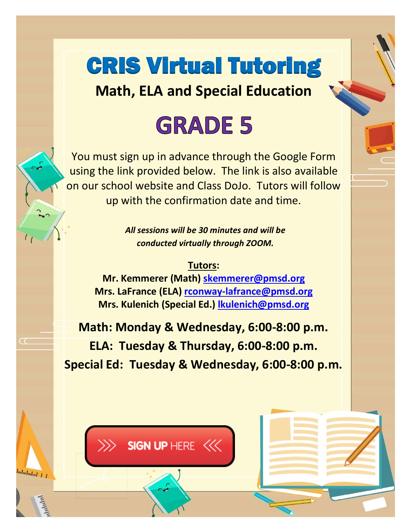# CRIS Virtual Tutoring

**Math, ELA and Special Education**

# **GRADE 5**

You must sign up in advance through the Google Form using the link provided below. The link is also available on our school website and Class DoJo. Tutors will follow up with the confirmation date and time.

> *All sessions will be 30 minutes and will be conducted virtually through ZOOM.*

#### **Tutors:**

**Mr. Kemmerer (Math) [skemmerer@pmsd.org](mailto:skemmerer@pmsd.org) Mrs. LaFrance (ELA) [rconway-lafrance@pmsd.org](mailto:rconway-lafrance@pmsd.org) Mrs. Kulenich (Special Ed.) [lkulenich@pmsd.org](mailto:lkulenich@pmsd.org)**

**Math: Monday & Wednesday, 6:00-8:00 p.m. ELA: Tuesday & Thursday, 6:00-8:00 p.m. Special Ed: Tuesday & Wednesday, 6:00-8:00 p.m.**

SIGN UP HERE <<<

հահահաև 1 1